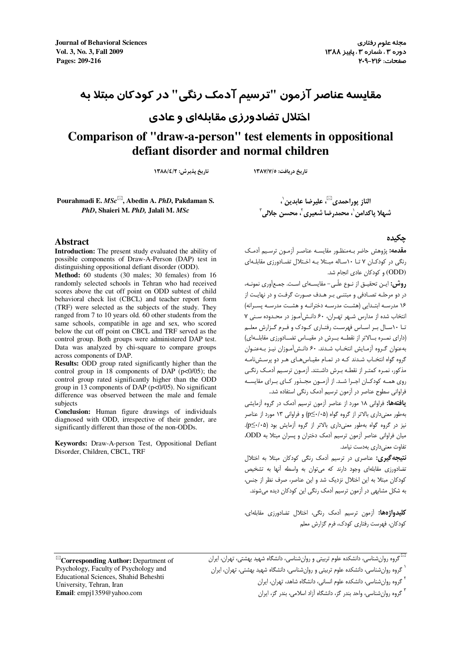**Journal of Behavioral Sciences** رفتاري علوم مجله دوره ۳، شماره ۳ ، پاییز ۱۳۸۸ **۱۳۸۸ کامل تا ۱۳۸۸ کامل تا ۱**۳۵۸ کامل تا ۱۳۸۶ کامل تا ۱۳۵۸ کامل تا ۱۳۵۸ کامل تا ۱۳۵ صفحات: -216 209 **209-216 :Pages**

# مقايسه عناصر آزمون "ترسيم آدمك رنگي" در كودكان مبتلا به

## اختلال تضادورزي مقابلهاي و عادي

# **Comparison of "draw-a-person" test elements in oppositional defiant disorder and normal children**

تاريخ دريافت: ١٣٨٧/٧/٥ تاريخ پذيرش: ١٣٨٨/٤/٢

**Pourahmadi E.** *MSc***, Abedin A.** *PhD***, Pakdaman S.**  *PhD***, Shaieri M.** *PhD,* **Jalali M.** *MSc*

الناز پوراحمدى™، عليرضا عابدين`، شهلا پاکدامن $^{\backprime}$ ، محمدرضا شعیری $^{\backprime}$ ، محسن جلالی $^{\intercal}$ 

### **Abstract**

**Introduction:** The present study evaluated the ability of possible components of Draw-A-Person (DAP) test in distinguishing oppositional defiant disorder (ODD).

**Method:** 60 students (30 males; 30 females) from 16 randomly selected schools in Tehran who had received scores above the cut off point on ODD subtest of child behavioral check list (CBCL) and teacher report form (TRF) were selected as the subjects of the study. They ranged from 7 to 10 years old. 60 other students from the same schools, compatible in age and sex, who scored below the cut off point on CBCL and TRF served as the control group. Both groups were administered DAP test. Data was analyzed by chi-square to compare groups across components of DAP.

**Results:** ODD group rated significantly higher than the control group in 18 components of DAP ( $p < 0/05$ ); the control group rated significantly higher than the ODD group in 13 components of DAP ( $p < 0/05$ ). No significant difference was observed between the male and female subjects

**Conclusion:** Human figure drawings of individuals diagnosed with ODD, irrespective of their gender, are significantly different than those of the non-ODDs.

**Keywords:** Draw-A-person Test, Oppositional Defiant Disorder, Children, CBCL, TRF

### چکيده

م**قدمه:** پژوهش حاضر بـهمنظـور مقايسـه عناصـر آزمـون ترسـيم آدمـک رنگي در کودکـان ۷ تـا ۱۰سـاله مبـتلا بـه اخـتلال تضـادورزي مقابلـه اي (ODD (و کودکان عادي انجام شد.

روش: ايـن تحقيـق از نـوع علّـي - مقايسـهاي اسـت. جمـعآوري نمونـه، در دو مرحلـه تصـادفي و مبتنـي بـر هـدف صـورت گرفـت و در نهايـت از ۱۶ مدرسـه ابتــدايي (هشــت مدرســه دخترانــه و هشــت مدرســه پســرانه ) انتخاب شده از مدارس شـهر تهـران، ۶۰ دانـش آمـوز در محـدوده سـني ۷ تـا ۱۰ســال بــر اســاس فهرســت رفتـاري کــودک و فــرم گــزارش معلــم (داراي نمــره بــالاتر از نقطــه بــرش در مقيــاس تضــادورزي مقابلــه اي) بهعنوان گـروه آزمـايش انتخـاب شـدند . ۶۰ دانـش آمـوزان نيـز بـه عنـوان گروه گواه انتخـاب شـدند کـه در تمـام مقيـاس هـاي هـر دو پرسـش نامـه مذکور، نمـره کمتـر از نقطـه بـرش داشـتند . آزمـون ترسـيم آدمـک رنگـي روي همــه کودکــان اجــرا شــد . از آزمــون مجــذور كــاي بــراي مقايســه فراواني سطوح عناصر در آزمون ترسيم آدمک رنگي استفاده شد..

**یافته ها:** فراوانی ۱۸ مورد از عناصر آزمون ترسیم آدمک در گروه آزمایشی بهطور معنيداري بالاتر از گروه گواه ( ۰۵/۰ ≥p (و فراواني ۱۳ مورد از عناصر نيز در گروه گواه بهطور معنى دارى بالاتر از گروه آزمايش بود (p≤٠/٠۵). ميان فراواني عناصر آزمون ترسيم آدمک دختران و پسران مبتلا به ODD، تفاوت معنيداري بهدست نيامد.

نتيجهگيري: عناصري در ترسيم آدمک رنگي کودکان مبتلا به اختلال تضادورزي مقابلهاي وجود دارند که ميتوان به واسطه آنها به تشخيص کودکان مبتلا به اين اختلال نزديک شد و اين عناصر، صرف نظر از جنس، به شکل مشابهي در آزمون ترسيم آدمک رنگي اين کودکان ديده ميشوند .

<mark>کليدواژهها:</mark> آزمون ترسيم آدمک رنگي، اختلال تضادورزي مقابلهاي، کودکان، فهرست رفتاري کودک، فرم گزارش معلم

گروه روان شناسي، دانشکده علوم تربيتي و روان شناسي، دانشگاه شهيد بهشتي، تهران، ايران  $\boxtimes$ 

.<br><sup>۱</sup> گروه روانشناسي، دانشکده علوم تربيتي و روانشناسي، دانشگاه شهيد بهشتي، تهران، ايران

۲ گروه روانشناسي، دانشکده علوم انساني، دانشگاه شاهد، تهران، ايران

<sup>۲</sup> گروه روانشناسی، واحد بندر گز، دانشگاه آزاد اسلامی، بندر گز، ايران

**Corresponding Author:** Department of Psychology, Faculty of Psychology and Educational Sciences, Shahid Beheshti University, Tehran, Iran **Email**: empj1359@yahoo.com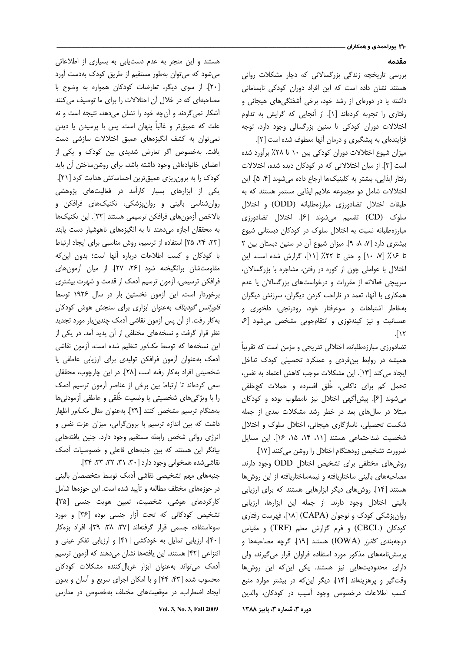### مقدمه

بررسی تاریخچه زندگی بزرگسالانی که دچار مشکلات روانی هستند نشان داده است که این افراد دوران کودکی نابسامانی داشته یا در دورهای از رشد خود، برخی آشفتگیهای هیجانی و رفتاری را تجربه کردهاند [١]. از آنجایی که گرایش به تداوم اختلالات دوران کودکی تا سنین بزرگسالی وجود دارد، توجه فزایندهای به پیشگیری و درمان آنها معطوف شده است [۲].

میزان شیوع اختلالات دوران کودکی بین ۱۰ تا ۲۸٪ برآورد شده است [۳]. از میان اختلالاتی که در کودکان دیده شده، اختلالات رفتار ایذایی، بیشتر به کلینیکها ارجاع داده می شوند [۴، ۵]. این اختلالات شامل دو مجموعه علایم ایذایی مستمر هستند که به طبقات اختلال تضادورزي مبارزهطلبانه (ODD) و اختلال سلوک (CD) تقسیم میشوند [۶]. اختلال تضادورزی مبارزهطلبانه نسبت به اختلال سلوک در کودکان دبستانی شیوع بیشتری دارد [٧، ٨، ٩]. میزان شیوع آن در سنین دبستان بین ٢ تا ١۶٪ [٧، ١٠] و حتى تا ٢٢٪ [١١]، گزارش شده است. اين اختلال با عواملی چون از کوره در رفتن، مشاجره با بزرگسالان، سرپیچی فعالانه از مقررات و درخواستهای بزرگسالان یا عدم همکاری با آنها، تعمد در ناراحت کردن دیگران، سرزنش دیگران بهخاطر اشتباهات و سوءرفتار خود، زودرنجي، دلخوري و عصبانیت و نیز کینهتوزی و انتقام جویی مشخص می شود [۶  $\sqrt{11}$ 

تضادورزی مبارزهطلبانه، اختلالی تدریجی و مزمن است که تقریباً همیشه در روابط بینفردی و عملکرد تحصیلی کودک تداخل ايجاد مي كند [١٣]. اين مشكلات موجب كاهش اعتماد به نفس، تحمل کم برای ناکامی، خُلق افسرده و حملات کجخلقی می شوند [۶]. پیش آگهی اختلال نیز نامطلوب بوده و کودکان مبتلا در سالهای بعد در خطر رشد مشکلات بعدی از جمله شکست تحصیلی، ناسازگاری هیجانی، اختلال سلوک و اختلال شخصیت ضداجتماعی هستند [۱۱، ۱۴، ۱۵، ۱۶]. این مسایل ضرورت تشخيص زودهنگام اختلال را روشن مى كنند [١٧].

روش های مختلفی برای تشخیص اختلال ODD وجود دارند. مصاحبههای بالینی ساختاریافته و نیمهساختاریافته از این روشها هستند [۱۴]. روشهای دیگر ابزارهایی هستند که برای ارزیابی باليني اختلال وجود دارند. از جمله اين ابزارها، ارزيابي روان پزشکی کودک و نوجوان (CAPA) [۱۸]، فهرست رفتاری كودكان (CBCL) و فرم گزارش معلم (TRF) و مقياس درجهبند*ی کانرز (I*OWA) هستند [۱۹]. گرچه مصاحبهها و پرسشنامههای مذکور مورد استفاده فراوان قرار میگیرند، ولی دارای محدودیتهایی نیز هستند. یکی این که این روشها وقت گیر و پرهزینهاند [۱۴]، دیگر این که در بیشتر موارد منبع كسب اطلاعات درخصوص وجود أسيب در كودكان، والدين دوره ۳، شماره ۳، پاییز ۱۳۸۸

هستند و این منجر به عدم دستیابی به بسیاری از اطلاعاتی می شود که می توان بهطور مستقیم از طریق کودک بهدست آورد [۲۰]. از سوی دیگر، تعارضات کودکان همواره به وضوح با مصاحبهای که در خلال آن اختلالات را برای ما توصیف می کنند آشکار نمی گردند و آنچه خود را نشان میدهد، نتیجه است و نه علت که عمیقتر و غالباً پنهان است. پس با پرسیدن یا دیدن نمی توان به کشف انگیزههای عمیق اختلالات سازشی دست یافت. بهخصوص اگر تعارض شدیدی بین کودک و یکی از اعضای خانوادهاش وجود داشته باشد، برای روشنساختن آن باید کودک را به برون ریزی عمیق ترین احساساتش هدایت کرد [۲۱]. یکی از ابزارهای بسیار کارآمد در فعالیتهای پژوهشی روان شناسی بالینی و روانپزشکی، تکنیکهای فرافکن و بالاخص آزمونهای فرافکن ترسیمی هستند [٢٢]. این تکنیکها به محققان اجازه می دهند تا به انگیزههای ناهوشیار دست یابند [٢٣، ٢٣، ٢٥] استفاده از ترسيم، روش مناسبي براي ايجاد ارتباط با كودكان و كسب اطلاعات درباره أنها است؛ بدون اين كه مقاومتشان برانگیخته شود [۲۶، ۲۷]. از میان آزمونهای فرافکن ترسیمی، آزمون ترسیم آدمک از قدمت و شهرت بیشتری برخوردار است. این آزمون نخستین بار در سال ۱۹۲۶ توسط *فلورانس گودیناف* بهعنوان ابزاری برای سنجش هوش کودکان به كار رفت. از آن پس آزمون نقاشى آدمك چندينبار مورد تجديد نظر قرار گرفت و نسخههای مختلفی از آن پدید آمد. در یکی از این نسخهها که توسط *مکاور* تنظیم شده است، آزمون نقاشی أدمك بهعنوان أزمون فرافكن توليدي براي ارزيابي عاطفى يا شخصيتي افراد به كار رفته است [٢٨]. در اين چارچوب، محققان سعی کردهاند تا ارتباط بین برخی از عناصر آزمون ترسیم آدمک را با ویژگیهای شخصیتی یا وضعیت خُلقی و عاطفی آزمودنیها بههنگام ترسیم مشخص کنند [۲۹]. بهعنوان مثال *مک\ور* اظهار داشت که بین اندازه ترسیم با برون گرایی، میزان عزت نفس و انرژی روانی شخص رابطه مستقیم وجود دارد. چنین یافتههایی بیانگر این هستند که بین جنبههای فاعلی و خصوصیات أدمک نقاشی شده همخوانی وجود دارد [۳۰، ۳۱، ۳۲، ۳۳، ۳۳).

جنبههای مهم تشخیصی نقاشی آدمک توسط متخصصان بالینی در حوزههای مختلف مطالعه و تأیید شده است. این حوزهها شامل كاركردهاى هوشى، شخصيت، تعيين هويت جنسى [٣۵]، تشخیص کودکانی که تحت آزار جنسی بوده [۳۶] و مورد سوءاستفاده جسمی قرار گرفتهاند [۳۷، ۳۸، ۳۹]، افراد بزهکار [۴۰]، ارزیابی تمایل به خودکشی [۴۱] و ارزیابی تفکر عینی و انتزاعی [۴۲] هستند. این یافتهها نشان میدهند که آزمون ترسیم آدمک می تواند به عنوان ابزار غربال کننده مشکلات کودکان محسوب شده [۴۳، ۴۴] و با امکان اجرای سریع و آسان و بدون ایجاد اضطراب، در موقعیتهای مختلف بهخصوص در مدارس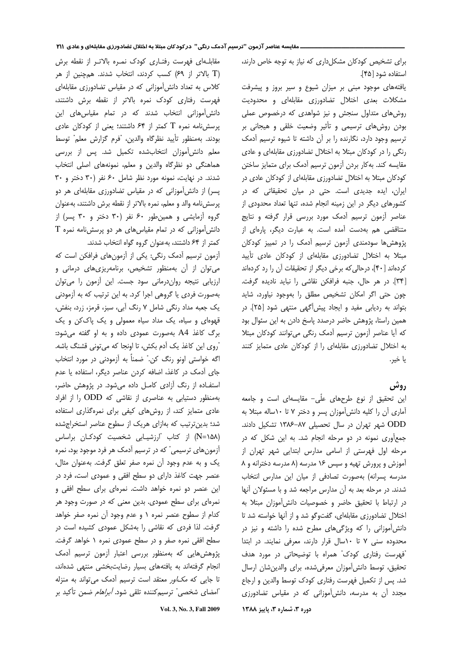برای تشخیص کودکان مشکل داری که نیاز به توجه خاص دارند، استفاده شود [۴۵].

یافتههای موجود مبنی بر میزان شیوع و سیر بروز و پیشرفت مشکلات بعدی اختلال تضادورزی مقابلهای و محدودیت روش های متداول سنجش و نیز شواهدی که درخصوص عملی بودن روشهای ترسیمی و تأثیر وضعیت خلقی و هیجانی بر ترسیم وجود دارد، نگارنده را بر آن داشته تا شیوه ترسیم آدمک رنگی را در کودکان مبتلا به اختلال تضادورزی مقابلهای و عادی مقایسه کند. به کار بردن آزمون ترسیم آدمک برای متمایز ساختن کودکان مبتلا به اختلال تضادورزی مقابلهای از کودکان عادی در ایران، ایده جدیدی است. حتی در میان تحقیقاتی که در كشورهاى ديگر در اين زمينه انجام شده، تنها تعداد محدودى از عناصر أزمون ترسيم أدمك مورد بررسي قرار گرفته و نتايج متناقضی هم بهدست آمده است. به عبارت دیگر، پارهای از پژوهش ها سودمندی آزمون ترسیم آدمک را در تمییز کودکان مبتلا به اختلال تضادورزی مقابلهای از کودکان عادی تأیید کردهاند [۴۰]، درحالی که برخی دیگر از تحقیقات آن را رد کردهاند [٣۴]. در هر حال، جنبه فرافكن نقاشى را نبايد ناديده كرفت. چون حتی اگر امکان تشخیص مطلق را بهوجود نیاورد، شاید بتواند به ردیابی مفید و ایجاد پیش آگهی منتهی شود [۲۵]. در همین راستا، پژوهش حاضر درصدد پاسخ دادن به این سئوال بود كه أيا عناصر أزمون ترسيم أدمك رنگى مى توانند كودكان مبتلا به اختلال تضادورزی مقابلهای را از کودکان عادی متمایز کنند يا خير.

### **روش**

این تحقیق از نوع طرحهای علّی- مقایسهای است و جامعه آماری آن را کلیه دانش آموزان پسر و دختر ۷ تا ۱۰ساله مبتلا به ODD شهر تهران در سال تحصیلی ۸۷-۱۳۸۶ تشکیل دادند. جمع آوری نمونه در دو مرحله انجام شد. به این شکل که در مرحله اول فهرستی از اسامی مدارس ابتدایی شهر تهران از آموزش و پرورش تهیه و سپس ۱۶ مدرسه (۸ مدرسه دخترانه و ۸ مدرسه پسرانه) بهصورت تصادفی از میان این مدارس انتخاب شدند. در مرحله بعد به آن مدارس مراجعه شد و با مسئولان آنها در ارتباط با تحقیق حاضر و خصوصیات دانش آموزان مبتلا به اختلال تضادورزی مقابلهای، گفتوگو شد و از آنها خواسته شد تا دانشآموزانی را که ویژگیهای مطرح شده را داشته و نیز در محدوده سنی ۷ تا ۱۰سال قرار دارند، معرفی نمایند. در ابتدا ّفهرست رفتاری کودک" همراه با توضیحاتی در مورد هدف تحقيق، توسط دانش[موزان معرفى شده، براى والدين شان ارسال شد. پس از تکمیل فهرست رفتاری کودک توسط والدین و ارجاع مجدد آن به مدرسه، دانش آموزانی که در مقیاس تضادورزی دوره ۳، شماره ۳، پاییز ۱۳۸۸

مقابلهای فهرست رفتـاری کودک نمـره بالاتـر از نقطه برش (T بالاتر از ۶۹) کسب کردند، انتخاب شدند. همچنین از هر کلاس به تعداد دانش آموزانی که در مقیاس تضادورزی مقابلهای فهرست رفتاری کودک نمره بالاتر از نقطه برش داشتند، دانش[موزانی انتخاب شدند که در تمام مقیاسهای این پرسش نامه نمره T کمتر از ۶۴ داشتند؛ یعنی از کودکان عادی بودند. بهمنظور تأييد نظركاه والدين، "فرم گزارش معلم" توسط معلم دانش[موزان انتخابشده تكميل شد. پس از بررسى هماهنگی دو نظرگاه والدین و معلم، نمونههای اصلی انتخاب شدند. در نهایت، نمونه مورد نظر شامل ۶۰ نفر (۳۰ دختر و ۳۰ پسر) از دانش آموزانی که در مقیاس تضادورزی مقابلهای هر دو پرسش نامه والد و معلم، نمره بالاتر از نقطه برش داشتند، بهعنوان گروه آزمایشی و همین طور ۶۰ نفر (۳۰ دختر و ۳۰ پسر) از  $T$  دانش آموزانی که در تمام مقیاس های هر دو پرسش نامه نمره كمتر از ۶۴ داشتند، بهعنوان گروه گواه انتخاب شدند.

آزمون ترسیم آدمک رنگی: یکی از آزمونهای فرافکن است که می توان از آن بهمنظور تشخیص، برنامهریزی های درمانی و ارزیابی نتیجه روان درمانی سود جست. این آزمون را می توان بهصورت فردی یا گروهی اجرا کرد. به این ترتیب که به آزمودنی یک جعبه مداد رنگی شامل ۷ رنگ آبی، سبز، قرمز، زرد، بنفش، قهوهای و سیاه، یک مداد سیاه معمولی و یک پاککن و یک برگ کاغذ A4 بهصورت عمودی داده و به او گفته می شود: ّروی این کاغذ یک آدم بکش، تا اونجا که میتونی قشنگ باشه. اگه خواستی اونو رنگ کن." ضمناً به آزمودنی در مورد انتخاب جای آدمک در کاغذ، اضافه کردن عناصر دیگر، استفاده یا عدم استفاده از رنگ آزادی کامل داده می شود. در پژوهش حاضر، بهمنظور دستیابی به عناصری از نقاشی که ODD را از افراد عادی متمایز کند، از روشهای کیفی برای نمرهگذاری استفاده شد؛ بدینترتیب که بهازای هریک از سطوح عناصر استخراجشده (N=۱۵۸) از کتاب "ارزشیـابی شخصیت کودکـان براساس آزمونهای ترسیمی" که در ترسیم آدمک هر فرد موجود بود، نمره یک و به عدم وجود آن نمره صفر تعلق گرفت. بهعنوان مثال، عنصر جهت کاغذ دارای دو سطح افقی و عمودی است، فرد در این عنصر دو نمره خواهد داشت. نمرهای برای سطح افقی و نمرهای برای سطح عمودی. بدین معنی که در صورت وجود هر کدام از سطوح عنصر نمره ۱ و عدم وجود آن نمره صفر خواهد گرفت. لذا فردی که نقاشی را بهشکل عمودی کشیده است در سطح افقی نمره صفر و در سطح عمودی نمره ۱ خواهد گرفت. پژوهش هایی که بهمنظور بررسی اعتبار آزمون ترسیم آدمک انجام گرفتهاند به یافتههای بسیار رضایتبخشی منتهی شدهاند، تا جایی که *مکاور معتقد* است ترسیم آدمک میتواند به منزله "امضای شخصی" ترسیمکننده تلقی شود. *آبراهام* ضمن تأکید بر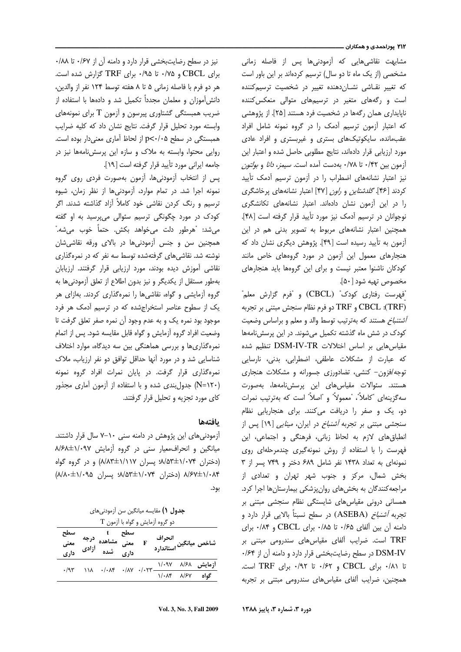مشابهت نقاشیهایی که آزمودنیها پس از فاصله زمانی مشخصی (از یک ماه تا دو سال) ترسیم کردهاند بر این باور است که تغییر نقاشی نشان دهنده تغییر در شخصیت ترسیم کننده است و رگههای متغیر در ترسیمهای متوالی منعکس کننده ناپایداری همان رگهها در شخصیت فرد هستند [۲۵]. از پژوهشی که اعتبار آزمون ترسیم آدمک را در گروه نمونه شامل افراد عقب مانده، سایکوتیک های بستری و غیربستری و افراد عادی مورد ارزیابی قرار دادهاند، نتایج مطلوبی حاصل شده و اعتبار این آزمون بين ٠/٣٢ تا ٠/٧٨ بهدست آمده است. *سيمز، دانا* و *بولتون* نیز اعتبار نشانههای اضطراب را در آزمون ترسیم آدمک تأیید کردند [۴۶]. *گلدشتاین و راون* [۴۷] اعتبار نشانههای پرخاشگری را در این آزمون نشان دادهاند. اعتبار نشانههای تکانشگری نوجوانان در ترسیم آدمک نیز مورد تأیید قرار گرفته است [۴۸]. همچنین اعتبار نشانههای مربوط به تصویر بدنی هم در این آزمون به تأیید رسیده است [۴۹]. پژوهش دیگری نشان داد که هنجارهای معمول این آزمون در مورد گروههای خاص مانند کودکان ناشنوا معتبر نیست و برای این گروهها باید هنجارهای مخصوص تهيه شود [۵۰].

"فهرست رفتاری کودک" (CBCL) و "فرم گزارش معلم" (TRF): CBCL و TRF دو فرم نظام سنجش مبتنى بر تجربه *آشتنباخ* هستند كه بهترتيب توسط والد و معلم و براساس وضعيت کودک در شش ماه گذشته تکمیل میشوند. در این پرسشنامهها مقیاس هایی بر اساس اختلالات DSM-IV-TR تنظیم شده كه عبارت از مشكلات عاطفى، اضطرابى، بدنى، نارسايى توجه/فزون- کنشی، تضادورزی جسورانه و مشکلات هنجاری هستند. سئوالات مقياسهاى اين پرسشiامهها، بهصورت سه گزینهای "کاملاً"، "معمولاً" و "اصلاً" است که بهترتیب نمرات دو، یک و صفر را دریافت میکنند. برای هنجاریابی نظام سنجشی مبتنی بر تجربه *آشنباخ* در ایران، *مینایی* [۱۹] پس از انطباق های لازم به لحاظ زبانی، فرهنگی و اجتماعی، این فهرست را با استفاده از روش نمونهگیری چندمرحلهای روی نمونهای به تعداد ۱۴۳۸ نفر شامل ۶۸۹ دختر و ۷۴۹ پسر از ۳ بخش شمال، مرکز و جنوب شهر تهران و تعدادی از مراجعه کنندگان به بخش های روان پزشکی بیمارستان ها اجرا کرد. همسانی درونی مقیاسهای شایستگی نظام سنجشی مبتنی بر تجربه *آشنباخ* (ASEBA) در سطح نسبتاً بالایی قرار دارد و دامنه آن بین آلفای ۰/۶۵ تا ۰/۸۵ برای CBCL و ۰/۸۴ برای TRF است. ضرایب آلفای مقیاس های سندرومی مبتنی بر DSM-IV در سطح رضایتبخشی قرار دارد و دامنه آن از ۰/۶۴ تا ٠/٨١ براى CBCL و ٠/۶٢ تا ٠/٩٢ براى TRF است. همچنین، ضرایب آلفای مقیاسهای سندرومی مبتنی بر تجربه

نیز در سطح رضایتبخشی قرار دارد و دامنه آن از ۰/۶۷ تا ۰/۸۸ برای CBCL و ۰/۷۵ تا ۰/۹۵ برای TRF گزارش شده است. هر دو فرم با فاصله زمانی ۵ تا ۸ هفته توسط ۱۲۴ نفر از والدین، دانشآموزان و معلمان مجدداً تكميل شد و دادهها با استفاده از ضریب همبستگی گشتاوری پیرسون و آزمون T برای نمونههای وابسته مورد تحلیل قرار گرفت. نتایج نشان داد که کلیه ضرایب همبستگی در سطح p<٠/٠۵ از لحاظ آماری معنیدار بوده است. روایی محتوا، وابسته به ملاک و سازه این پرسش نامهها نیز در جامعه ایرانی مورد تأیید قرار گرفته است [۱۹].

پس از انتخاب آزمودنیها، آزمون بهصورت فردی روی گروه نمونه اجرا شد. در تمام موارد، آزمودنی ها از نظر زمان، شیوه ترسیم و رنگ کردن نقاشی خود کاملاً آزاد گذاشته شدند. اگر کودک در مورد چگونگی ترسیم سئوالی میپرسید به او گفته مي شد: "هرطور دلت مي خواهد بكش. حتماً خوب مي شه." همچنین سن و جنس آزمودنیها در بالای ورقه نقاشیشان نوشته شد. نقاشی های گرفتهشده توسط سه نفر که در نمرهگذاری نقاشی آموزش دیده بودند، مورد ارزیابی قرار گرفتند. ارزیابان بهطور مستقل از يكديگر و نيز بدون اطلاع از تعلق آزمودني ها به گروه آزمایشی و گواه، نقاشی ها را نمرهگذاری کردند. بهازای هر یک از سطوح عناصر استخراجشده که در ترسیم آدمک هر فرد موجود بود نمره یک و به عدم وجود آن نمره صفر تعلق گرفت تا وضعیت افراد گروه آزمایش و گواه قابل مقایسه شود. پس از اتمام نمره گذاری ها و بررسی هماهنگی بین سه دیدگاه، موارد اختلاف شناسایی شد و در مورد آنها حداقل توافق دو نفر ارزیاب، ملاک نمرهگذاری قرار گرفت. در پایان نمرات افراد گروه نمونه (N=۱۲۰) جدول بندی شده و با استفاده از آزمون آماری مجذور کای مورد تجزیه و تحلیل قرار گرفتند.

### بافتهها

آزمودنی های این پژوهش در دامنه سنی ۱۰–۷ سال قرار داشتند. میانگین و انحراف معیار سنی در گروه آزمایش ۸/۶۸±۱/۰۹۷ (دختران ۸/۵۳±۱/۰۷۴ پسران ۱/۱۱۷±۸/۸۳) و در گروه گواه ۸/۶۷±۱/۰۸۴ (دختران ۸/۵۳±۱/۰۷۴ پسران ۸/۸۰±۱/۰۹۵) بود.

**جدول ()** مقايسه ميانگين سن آزمودني هاي  $T$  دو گروه آزمایش و گواه با آزمون

|             | سطح t<br>معنی مشاهده درجه معنی<br>داری شده آزادی <sub>داری</sub>        |  | انحراف<br>شاخص میانگین |  |
|-------------|-------------------------------------------------------------------------|--|------------------------|--|
| $\cdot$ /95 | آزمایش ۱/۰۸۴ ۱/۰۹۷ ۱۱۸۷ ۰/۰۸۴ ۰/۸۲<br>گواه ۱/۰۸۴ ۱/۰۸۴ ۱/۰۸۴ ۱/۰۸۴ ۰/۸۷ |  |                        |  |
|             |                                                                         |  |                        |  |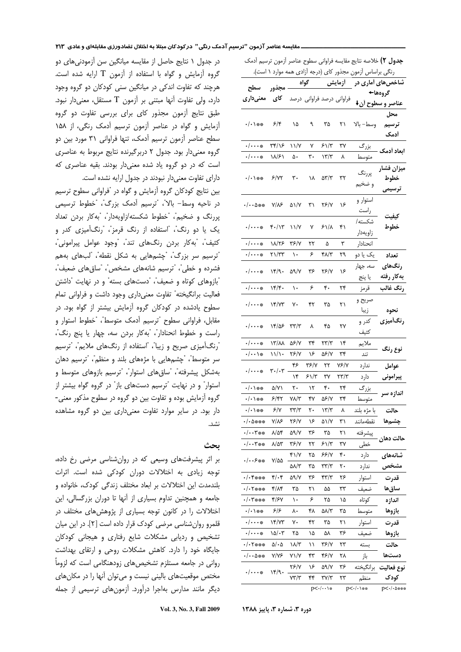| ج <b>دول ۲)</b> خلاصه نتايج مقايسه فراواني سطوح عناصر آزمون ترسيم آدمک |                                       |                           |      |                            |                  |                  |                  |  |  |  |  |
|------------------------------------------------------------------------|---------------------------------------|---------------------------|------|----------------------------|------------------|------------------|------------------|--|--|--|--|
| رنگی براساس آزمون مجذور کای (درجه آزادی همه موارد ۱ است).              |                                       |                           |      |                            |                  |                  |                  |  |  |  |  |
| مجذور سطح                                                              |                                       | گواه                      |      |                            | - أزما <u>يش</u> | شاخصهای آماری در |                  |  |  |  |  |
| کای معنیداری                                                           |                                       | فراوانی درصد فراوانی درصد |      |                            |                  | گروهها←          |                  |  |  |  |  |
|                                                                        |                                       |                           |      |                            |                  |                  | عناصر و سطوح أن↓ |  |  |  |  |
|                                                                        |                                       |                           |      |                            |                  |                  | محل              |  |  |  |  |
| $\cdot/\cdot$ \ $\ast\ast$                                             | 5/5                                   | ۱۵                        | ٩    | ٣۵                         | ۲۱               | وسط– بالا        | ترسيم            |  |  |  |  |
|                                                                        |                                       |                           |      |                            |                  |                  | أدمك             |  |  |  |  |
| $\cdot/\cdot\cdot\ast$                                                 | ۳۴/۱۶                                 | ۱۱/۷                      | ٧    | $51/\tau$                  | ٣٧               | بزرگ             | ابعاد أدمك       |  |  |  |  |
| $\cdot/\cdot\cdot\ast$                                                 | ۱۸/۶۱                                 | ۵۰                        | ٣٠   | ۱۳/۳                       | ٨                | متوسط            |                  |  |  |  |  |
|                                                                        |                                       | ٣٠                        | ۱۸   | $\Delta \Upsilon/\Upsilon$ | ٣٢               | پررنگ            | ميزان فشار       |  |  |  |  |
|                                                                        |                                       |                           |      |                            |                  | و ضخيم           | خطوط             |  |  |  |  |
|                                                                        |                                       |                           |      |                            |                  |                  | ترسیمی           |  |  |  |  |
| •∕••∆**                                                                | Y/N >                                 | ۵۱/۷                      | ۳۱   | 75/Y                       | ۱۶               | استوار و         |                  |  |  |  |  |
|                                                                        |                                       |                           |      |                            |                  | راست             | كيفيت            |  |  |  |  |
| $.   \dots  $                                                          | $f.$ /۱۳                              | ۱۱/۷                      | ٧    | ۶۱/۸                       | ۴۱               | شكسته/           | خطوط             |  |  |  |  |
|                                                                        |                                       |                           |      |                            |                  | زاويهدار         |                  |  |  |  |  |
| $\cdot/\cdot\cdot\ast$                                                 | ۱۸/۲۶                                 | ۳۶/۷                      | ۲۲   | ۵                          | ٣                | انحنادار         |                  |  |  |  |  |
| $\cdot/\! \cdot \cdot$ *                                               | ۲۱/۳۳                                 | ١.                        | ۶    | ۴۸/۳                       | ۲۹               | یک یا دو         | تعداد            |  |  |  |  |
| ./                                                                     | ۱۴/۹۰                                 | 59/Y                      | ۳۶   | ۲۶/۷                       | ۱۶               | سه، جهار         | رنگھای           |  |  |  |  |
|                                                                        |                                       |                           |      |                            |                  | يا پنج           | بهكار رفته       |  |  |  |  |
| $\cdot/\cdot\cdot\ast$                                                 | 15.                                   | ١.                        | ۶    | ۴.                         | ۲۴               | قرمز             | رنگ غالب         |  |  |  |  |
|                                                                        | ۱۴/۷۳                                 | γ٠                        | ۴۲   | ۳۵                         | ۲۱               | صريح و           |                  |  |  |  |  |
| $\cdot/\cdot\cdot\ast$                                                 |                                       |                           |      |                            |                  | زيبا             | نحوه             |  |  |  |  |
|                                                                        | ۱۴/۵۶                                 | ۳۳/۳                      | ٨    | ۴۵                         | ۲۷               | کدر و            | رنگأميزي         |  |  |  |  |
| $\cdot/\! \cdots$ *                                                    |                                       |                           |      |                            |                  | كثيف             |                  |  |  |  |  |
| $\cdot/\cdot\cdot\ast$                                                 | ۱۳/۸۸                                 | 56/Y                      | ٣۴   | ۲۳/۳                       | ۱۴               | ملايم            |                  |  |  |  |  |
| $\cdot/\cdot\cdot\setminus$ #                                          | ۱۱/۱۰                                 | ۲۶/۷                      | ۱۶   | 56/Y                       | ٣۴               | تند              | نوع رنگ          |  |  |  |  |
|                                                                        | $\mathbf{r} \cdot / \cdot \mathbf{r}$ | ۴۶                        | ۳۶/۷ | ۲۲                         | 7۶/7             | ندارد            | عوامل            |  |  |  |  |
| $\cdot/\cdot\cdot\ast$                                                 |                                       | ۱۴                        | ۶۱/۳ | ٣٧                         | ۲۳/۳             | دارد             | پيرامونى         |  |  |  |  |
| $\cdot/\cdot$ \ $\ast\ast$                                             | ۵/۷۱                                  | ٢٠                        | ۱۲   | ۴۰                         | ۲۴               | بزرگ             |                  |  |  |  |  |
| $\cdot/\cdot$ \ $\ast\ast$                                             | ۶/۴۲                                  | ۷۸/۳                      | ۴۷   | 56/Y                       | ٣۴               | متوسط            | اندازه سر        |  |  |  |  |
| $\cdot/\cdot$ \ $\ast\ast$                                             | ۶/۷                                   | $\tau\tau/\tau$           | ٢٠   | $\frac{1}{\gamma}$         | ٨                | با مژه بلند      | حالت             |  |  |  |  |
| $\cdot$ / $\cdot$ $\Delta$ ***                                         | ۷/۸۶                                  | ۲۶/۷                      | ۱۶   | ۵۱/۷                       | ٣١               | نقطهمانند        | چشمها            |  |  |  |  |
| $\cdot/\cdot\cdot$ r##                                                 | ۸/۵۴                                  | 59/Y                      | ۳۶   | ٣۵                         | ۲۱               | پيشرفته          |                  |  |  |  |  |
| $\cdot/\cdot\cdot$ $\mathbf{y}_{**}$                                   | ۸/۵۳                                  | ۳۶/۷                      | ۲۲   | ۶۱/۳                       | ٣٧               | خطی              | حالت دهان        |  |  |  |  |
|                                                                        |                                       | ۴۱/۷                      | ۲۵   | ۶۶/۷                       | ۴.               | دارد             | شانەھاي          |  |  |  |  |
| $.  . .5$ **                                                           | $Y/\Delta\Delta$                      | ۵۸/۳                      | ۳۵   | ۳۳/۳                       | ٢٠               | ندارد            |                  |  |  |  |  |
| $. / .$ ۴***                                                           | $f(\cdot)$                            | ۵۹/۷                      | ۳۶   | ۴۳/۳                       | ۲۶               | استوار           | قدرت             |  |  |  |  |
| ・/・۲※※※                                                                | ۴/۸۴                                  | ۳۵                        | ۲۱   | ۵۵                         | ٣٣               | ضعيف             | ساق ها           |  |  |  |  |
| $. / . 7$ ***                                                          | ۴/۶۷                                  | ١.                        | ۶    | ۲۵                         | ۱۵               | كوتاه            | اندازه           |  |  |  |  |
| $\cdot/\cdot$ \ $\ast\ast$                                             | ۶۱۶                                   | ٨٠                        | ۴۸   | ۵۸/۳                       | ۳۵               |                  | بازوها           |  |  |  |  |
| •∕•••∗                                                                 | ۱۴/۷۳                                 | γ٠                        | ۴۲   | ۳۵                         | ۲۱               | متوسط<br>استوار  | قدرت             |  |  |  |  |
|                                                                        |                                       |                           |      |                            |                  |                  |                  |  |  |  |  |
| •∕•••∗                                                                 | $\frac{1}{2}$                         | ۲۵                        | ۱۵   | ۵۸                         | ۳۶               | ضعيف             | بازوها           |  |  |  |  |
| $\cdot$ / $\cdot$ Y***                                                 | $\Delta/\cdot\Delta$                  | ۱۸/۳                      | ۱۱   | ۳۶/۷                       | ۲۳               | بسته             | حالت             |  |  |  |  |
| •/••۵**                                                                | ۷/۷۶                                  | ۷۱/۷                      | ۴۳   | ۴۶/۷                       | ۲۸               | باز              | دستها            |  |  |  |  |
| •∕•••∗                                                                 | ۱۴/۹۰                                 | ۲۶/۷                      | ۱۶   | 59./Y                      | ۳۶               | برانگيخته        | نوع فعاليت       |  |  |  |  |
|                                                                        |                                       | ۷۳/۳                      | ۴۴   | ۳۷/۳                       | ۲۳               | منظم             | کودک             |  |  |  |  |
| $p<\cdot/\cdots$                                                       |                                       | p<-/-\**                  |      | p<-/-۵***                  |                  |                  |                  |  |  |  |  |

در جدول ١ نتايج حاصل از مقايسه ميانگين سن آزمودني هاي دو  $\,$ گروه آزمایش و گواه با استفاده از آزمون  $\, {\rm T}$  ارایه شده است. هرچند که تفاوت اندکی در میانگین سنی کودکان دو گروه وجود دارد، ولی تفاوت آنها مبتنی بر آزمون T مستقل، معنیدار نبود. طبق نتایج آزمون مجذور کای برای بررسی تفاوت دو گروه آزمایش و گواه در عناصر آزمون ترسیم آدمک رنگی، از ۱۵۸ سطح عناصر آزمون ترسیم آدمک، تنها فراوانی ۳۱ مورد بین دو گروه معنىدار بود. جدول ٢ دربرگيرنده نتايج مربوط به عناصرى ست که در دو گروه یاد شده معنیدار بودند. بقیه عناصری که دارای تفاوت معنی دار نبودند در جدول ارایه نشده است.

بین نتایج کودکان گروه آزمایش و گواه در "فراوانی سطوح ترسیم در ناحیه وسط– بالا"، "ترسیم آدمک بزرگ"، "خطوط ترسیمی بررنگ و ضخيم"، "خطوط شكسته/زاويهدار"، "بهكار بردن تعداد یک یا دو رنگ"، "استفاده از رنگ قرمز"، "رنگآمیزی کدر و كثيف"، "بهكار بردن رنگهاى تند"، "وجود عوامل پيرامونى"، ٔترسیم سر بزرگ"، "چشمهایی به شکل نقطه"، <sup>"</sup>لبهای بههم فشرده و خطی"، "ترسیم شانههای مشخص"، "ساق های ضعیف"، بازوهای کوتاه و ضعیف"، "دستهای بسته" و در نهایت "داشتن " فعاليت برانگيخته" تفاوت معنىدارى وجود داشت و فراواني تمام سطوح یادشده در کودکان گروه آزمایش بیشتر از گواه بود. در مقابل، فراوانی سطوح "ترسیم آدمک متوسط"، "خطوط استوار و راست و خطوط انحنادار"، "بهكار بردن سه، چهار يا پنج رنگ"، "رنگآمیزی صریح و زیبا"، "استفاده از رنگهای ملایم"، "ترسیم سر متوسط"، "چشمهایی با مژههای بلند و منظم"، "ترسیم دهان بهشكل پيشرفته"، "ساق هاى استوار"، "ترسيم بازوهاى متوسط و استوار" و در نهایت "ترسیم دستهای باز" در گروه گواه بیشتر از گروه آزمایش بوده و تفاوت بین دو گروه در سطوح مذکور معنی-دار بود. در سایر موارد تفاوت معنیداری بین دو گروه مشاهده . . . . <del>. .</del> .

### ىحث

بر اثر پیشرفتهای وسیعی که در روانشناسی مرضی رخ داده، نوجه زیادی به اختلالات دوران کودکی شده است. اثرات بلندمدت این اختلالات بر ابعاد مختلف زندگی کودک، خانواده و جامعه و همچنین تداوم بسیاری از آنها تا دوران بزرگسالی، این ختلالات را در کانون توجه بسیاری از پژوهشهای مختلف در قلمرو روانشناسی مرضی کودک قرار داده است [۲]. در این میان نشخیص و ردیابی مشکلات شایع رفتاری و هیجانی کودکان جایگاه خود را دارد. کاهش مشکلات روحی و ارتقای بهداشت روانی در جامعه مستلزم تشخیصهای زودهنگامی است که لزوماً مختص موقعیتهای بالینی نیست و میتوان آنها را در مکانهای دیگر مانند مدارس بهاجرا درآورد. آزمونهای ترسیمی از جمله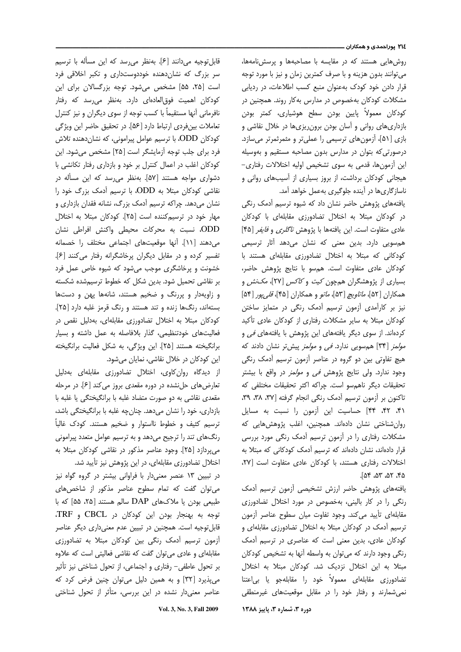#### ۲۱٤ پوراحمدی و همکاران ـــ

روش هایی هستند که در مقایسه با مصاحبهها و پرسش نامهها، می توانند بدون هزینه و با صرف کمترین زمان و نیز با مورد توجه قرار دادن خود کودک بهعنوان منبع کسب اطلاعات، در ردیابی مشکلات کودکان بهخصوص در مدارس بهکار روند. همچنین در کودکان معمولاً پایین بودن سطح هوشیاری، کمتر بودن بازداری های روانی و آسان بودن برون ریزی ها در خلال نقاشی و بازی [۵۱]، آزمونهای ترسیمی را عملیتر و مثمرثمرتر میسازد. درصورتی که بتوان در مدارس بدون مصاحبه مستقیم و بهوسیله این آزمونها، قدمی به سوی تشخیص اولیه اختلالات رفتاری– هیجانی کودکان برداشت، از بروز بسیاری از آسیبهای روانی و ناساز گاری ها در آینده جلوگیری بهعمل خواهد آمد.

یافتههای پژوهش حاضر نشان داد که شیوه ترسیم آدمک رنگی در کودکان مبتلا به اختلال تضادورزی مقابلهای با کودکان عادی متفاوت است. این یافتهها با پژوهش *ناگلری و فایفر* [۴۵] همسویی دارد. بدین معنی که نشان میدهد آثار ترسیمی کودکانی که مبتلا به اختلال تضادورزی مقابلهای هستند با كودكان عادي متفاوت است. همسو با نتايج پژوهش حاضر، بسیاری از پژوهشگران همچون *کیت و کاکس* [۲۷]، *مکنش* و همکاران [۵۲]، *ماتاویچ* [۵۳]، *ماتو* و همکاران [۴۵]، *قلم پور* [۵۴] نیز بر کارآمدی آزمون ترسیم آدمک رنگی در متمایز ساختن کودکان مبتلا به سایر مشکلات رفتاری از کودکان عادی تأکید کردهاند. از سوی دیگر یافتههای این پژوهش با یافتههای *فی* و *مولمز* [۳۴] هم سویی ندارد. *فی و مولمز* پیش تر نشان دادند که هیچ تفاوتی بین دو گروه در عناصر آزمون ترسیم آدمک رنگی وجود ندارد. ولي نتايج پژوهش *في و مولمز* در واقع با بيشتر تحقیقات دیگر ناهمسو است. چراکه اکثر تحقیقات مختلفی که تاکنون بر آزمون ترسیم آدمک رنگی انجام گرفته [۳۷، ۳۸، ۳۹، ۴۱، ۴۲، ۴۴] حساسیت این آزمون را نسبت به مسایل روان شناختی نشان دادهاند. همچنین، اغلب پژوهش هایی که مشکلات رفتاری را در آزمون ترسیم آدمک رنگی مورد بررسی قرار دادهاند، نشان دادهاند که ترسیم آدمک کودکانی که مبتلا به اختلالات رفتاری هستند، با کودکان عادی متفاوت است [۲۷، ٢۵، ٥٣، ٥٣، ٥٣.

يافتههاى پژوهش حاضر ارزش تشخيصى أزمون ترسيم أدمك رنگی را در کار بالینی، بهخصوص در مورد اختلال تضادورزی مقابلهای تأیید می کند. وجود تفاوت میان سطوح عناصر آزمون ترسیم آدمک در کودکان مبتلا به اختلال تضادورزی مقابلهای و کودکان عادی، بدین معنی است که عناصری در ترسیم آدمک رنگی وجود دارند که می توان به واسطه آنها به تشخیص کودکان مبتلا به این اختلال نزدیک شد. کودکان مبتلا به اختلال تضادورزی مقابلهای معمولاً خود را مقابلهجو یا بی|عتنا نمی شمارند و رفتار خود را در مقابل موقعیتهای غیرمنطقی

دوره ۳، شماره ۳، پاییز ۱۳۸۸

قابل توجیه میدانند [۶]. بهنظر می رسد که این مسأله با ترسیم سر بزرگ که نشان دهنده خوددوست داری و تکبر اخلاقی فرد است [۲۵، ۵۵] مشخص میشود. توجه بزرگسالان برای این کودکان اهمیت فوق|لعادهای دارد. بهنظر می رسد که رفتار نافرمانی أنها مستقیماً با کسب توجه از سوی دیگران و نیز کنترل تعاملات بينفردي ارتباط دارد [۵۶]. در تحقيق حاضر اين ويژگي کودکان ODD، با ترسیم عوامل پیرامونی، که نشاندهنده تلاش فرد برای جلب توجه آزمایشگر است [٢۵] مشخص می شود. این کودکان اغلب در اعمال کنترل بر خود و بازداری رفتار تکانشی با دشواری مواجه هستند [۵۷]. بهنظر می رسد که این مسأله در نقاشی کودکان مبتلا به ODD، با ترسیم آدمک بزرگ خود را نشان میدهد. چراکه ترسیم آدمک بزرگ، نشانه فقدان بازداری و مهار خود در ترسیمکننده است [۲۵]. کودکان مبتلا به اختلال ODD، نسبت به محركات محيطى واكنش افراطى نشان می دهند [۱۱]. أنها موقعیتهای اجتماعی مختلف را خصمانه تفسیر کرده و در مقابل دیگران پرخاشگرانه رفتار می کنند [۶]. خشونت و پرخاشگری موجب می شود که شیوه خاص عمل فرد بر نقاشی تحمیل شود. بدین شکل که خطوط ترسیم شده شکسته و زاویهدار و پررنگ و ضخیم هستند، شانهها پهن و دستها بستهاند، رنگ ها زنده و تند هستند و رنگ قرمز غلبه دارد [۲۵]. کودکان مبتلا به اختلال تضادورزی مقابلهای، بهدلیل نقص در فعالیتهای خودتنظیمی، گذار بلافاصله به عمل داشته و بسیار برانگیخته هستند [۲۵]. این ویژگی، به شکل فعالیت برانگیخته این کودکان در خلال نقاشی، نمایان میشود.

از دیدگاه روان کاوی، اختلال تضادورزی مقابلهای بهدلیل تعارضهای حل نشده در دوره مقعدی بروز می کند [۶]. در مرحله مقعدی نقاشی به دو صورت متضاد غلبه با برانگیختگی یا غلبه با بازداری، خود را نشان میدهد. چنان چه غلبه با برانگیختگی باشد، ترسیم کثیف و خطوط نااستوار و ضخیم هستند. کودک غالباً رنگهای تند را ترجیح میدهد و به ترسیم عوامل متعدد پیرامونی میپردازد [۲۵]. وجود عناصر مذکور در نقاشی کودکان مبتلا به اختلال تضادورزی مقابلهای، در این پژوهش نیز تأیید شد.

در تبیین ۱۳ عنصر معنیدار با فراوانی بیشتر در گروه گواه نیز می توان گفت که تمام سطوح عناصر مذکور از شاخص های طبیعی بودن یا ملاکهای DAP سالم هستند [۲۵، ۵۵] که با توجه به بهنجار بودن این کودکان در CBCL و TRF، قابل توجیه است. همچنین در تبیین عدم معنیداری دیگر عناصر آزمون ترسیم آدمک رنگی بین کودکان مبتلا به تضادورزی مقابلهای و عادی می توان گفت که نقاشی فعالیتی است که علاوه بر تحول عاطفي- رفتاري و اجتماعي، از تحول شناختي نيز تأثير می پذیرد [۳۲] و به همین دلیل می توان چنین فرض کرد که عناصر معنیدار نشده در این بررسی، متأثر از تحول شناختی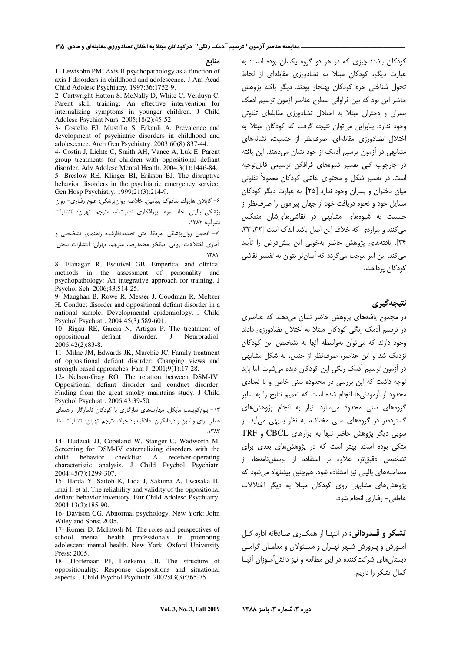منابع

1- Lewisohn PM. Axis II psychopathology as a function of axis I disorders in childhood and adolescence. J Am Acad Child Adolesc Psychiatry. 1997;36:1752-9.

2- Cartwright-Hatton S, McNally D, White C, Verduyn C. Parent skill training: An effective intervention for internalizing symptoms in younger children. J Child Adolesc Psychiat Nurs. 2005;18(2):45-52.

3- Costello EJ, Mustillo S, Erkanli A. Prevalence and development of psychiatric disorders in childhood and adolescence. Arch Gen Psychiatry. 2003;60(8):837-44.

4- Costin J, Lichte C, Smith AH, Vance A, Luk E. Parent group treatments for children with oppositional defiant disorder. Adv Adolesc Mental Health. 2004;3(1):1446-84. 5- Breslow RE, Klinger BI, Erikson BJ. The disruptive behavior disorders in the psychiatric emergency service. Gen Hosp Psychiatry. 1999;21(3):214-9.

۶– کاپلان هارولد، سادوک بنیامین. خلاصه روانپزشکی: علوم رفتاری- روان پزشکی بالینی. جلد سوم. پورافکاری نصرتاله، مترجم. تهران: انتشارات نشرآب؛ ١٣٨٢.

٧- انجمن روانپزشكى آمريكا. متن تجديدنظرشده راهنماى تشخيصى و أماري اختلالات رواني. نيكخو محمدرضا، مترجم. تهران: انتشارات سخن:

 $\Lambda$ ۳۸۱

8- Flanagan R, Esquivel GB. Emperical and clinical methods in the assessment of personality and psychopathology: An integrative approach for training. J Psychol Sch. 2006;43:514-25.

9- Maughan B, Rowe R, Messer J, Goodman R, Meltzer H. Conduct disorder and oppositional defiant disorder in a national sample: Developmental epidemiology. J Child Psychol Psychiatr. 2004;45(3):589-601.

10- Rigau RE, Garcia N, Artigas P. The treatment of disorder. oppositional defiant  $\mathbf{I}$ Neuroradiol. 2006;42(2):83-8.

11- Milne JM, Edwards JK, Murchie JC. Family treatment of oppositional defiant disorder: Changing views and strength based approaches. Fam J. 2001;9(1):17-28.

12- Nelson-Gray RO. The relation between DSM-IV: Oppositional defiant disorder and conduct disorder: Finding from the great smoky maintains study. J Child Psychol Psychiatr. 2006;43:39-50.

١٣- بلوم كويست مايكل. مهارتهاى سازگارى با كودكان ناسازگار: راهنماى عملی برای والدین و درمانگران. علاقبندراد جواد، مترجم. تهران: انتشارات سنا؛  $\lambda$ ۳ $\lambda$ ۳

14- Hudziak JJ, Copeland W, Stanger C, Wadworth M. Screening for DSM-IV externalizing disorders with the child behavior checklist: A receiver-operating characteristic analysis. J Child Psychol Psychiatr. 2004;45(7):1299-307.

15- Harda Y, Saitoh K, Lida J, Sakuma A, Lwasaka H, Imai J, et al. The reliability and validity of the oppositional defiant behavior inventory. Eur Child Adolesc Psychiatry. 2004:13(3):185-90.

16- Davison CG. Abnormal psychology. New York: John Wiley and Sons; 2005.

17- Romer D, McIntosh M. The roles and perspectives of school mental health professionals in promoting adolescent mental health. New York: Oxford University Press; 2005.

18- Hoffenaar PJ, Hoeksma JB. The structure of oppositionality: Response dispositions and situational aspects. J Child Psychol Psychiatr. 2002;43(3):365-75.

.<br>کودکان باشد؛ چیزی که در هر دو گروه یکسان بوده است؛ به عبارت دیگر، کودکان مبتلا به تضادورزی مقابلهای از لحاظ تحول شناختی جزء کودکان بهنجار بودند. دیگر یافته پژوهش حاضر این بود که بین فراوانی سطوح عناصر آزمون ترسیم آدمک یسران و دختران مبتلا به اختلال تضادورزی مقابلهای تفاوتی وجود ندارد. بنابراین می توان نتیجه گرفت که کودکان مبتلا به اختلال تضادورزی مقابلهای، صرف نظر از جنسیت، نشانههای مشابهی در آزمون ترسیم آدمک از خود نشان میدهند. این یافته در چارچوب کلی تفسیر شیوههای فرافکن ترسیمی قابل توجیه است. در تفسیر شکل و محتوای نقاشی کودکان معمولاً تفاوتی میان دختران و پسران وجود ندارد [۲۵]. به عبارت دیگر کودکان مسایل خود و نحوه دریافت خود از جهان پیرامون را صرفنظر از جنسیت به شیوههای مشابهی در نقاش*ی ه*ایشان منعکس می کنند و مواردی که خلاف این اصل باشد اندک است [۳۲، ۳۳، ۳۴]. یافتههای پژوهش حاضر بهخوبی این پیشءفرض را تأیید می کند. این امر موجب می گردد که آسان تر بتوان به تفسیر نقاشی كودكان برداخت.

### نتيجه گيري

در مجموع یافتههای پژوهش حاضر نشان میدهند که عناصری در ترسیم آدمک رنگی کودکان مبتلا به اختلال تضادورزی دادند وجود دارند كه مي توان بهواسطه آنها به تشخيص اين كودكان نزدیک شد و این عناصر، صرفنظر از جنس، به شکل مشابهی در آزمون ترسیم آدمک رنگی این کودکان دیده می شوند. اما باید توجه داشت که این بررسی در محدوده سنی خاص و با تعدادی محدود از آزمودنی ها انحام شده است که تعمیم نتایج را به سایر گروههای سنی محدود می سازد. نیاز به انجام پژوهشهای گستردهتر در گروههای سنی مختلف، به نظر بدیهی می آید. از سویی دیگر پژوهش حاضر تنها به ابزارهای CBCL و TRF متکی بوده است. بهتر است که در پژوهشهای بعدی برای تشخیص دقیق،تر، علاوه بر استفاده از پرسش،نامهها، از مصاحبههای بالینی نیز استفاده شود. همچنین پیشنهاد می شود که پژوهش های مشابهی روی کودکان مبتلا به دیگر اختلالات عاطفي – رفتاري انجام شود.

**تشکر و قــدردانی:** در انتهـا از همکـاری صـادقانه اداره کـل آمـوزش و پـرورش شـهر تهـران و مسـئولان و معلمـان گرامـي دبستان های شرکت کننده در این مطالعه و نیز دانش آموزان آنها كمال تشكر را داريم.